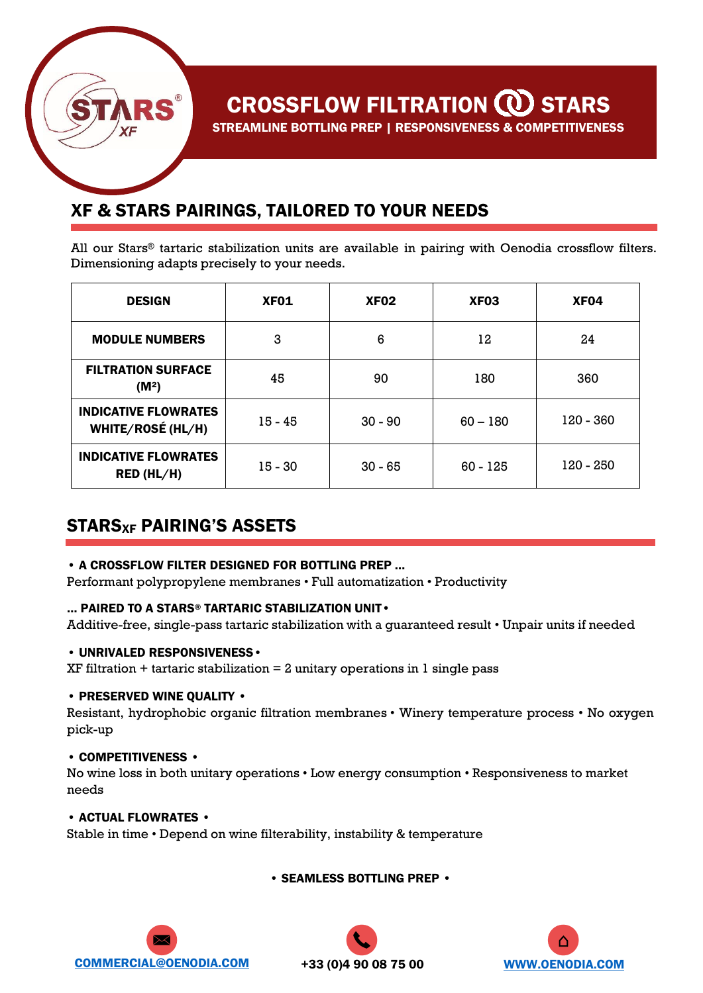# **CROSSFLOW FILTRATION @ STARS**

STREAMLINE BOTTLING PREP | RESPONSIVENESS & COMPETITIVENESS

### XF & STARS PAIRINGS, TAILORED TO YOUR NEEDS

All our Stars® tartaric stabilization units are available in pairing with Oenodia crossflow filters. Dimensioning adapts precisely to your needs.

| <b>DESIGN</b>                                    | XF <sub>01</sub> | XF <sub>02</sub> | <b>XF03</b> | <b>XF04</b> |
|--------------------------------------------------|------------------|------------------|-------------|-------------|
| <b>MODULE NUMBERS</b>                            | 3                | 6                | 12          | 24          |
| <b>FILTRATION SURFACE</b><br>(M <sup>2</sup> )   | 45               | 90               | 180         | 360         |
| <b>INDICATIVE FLOWRATES</b><br>WHITE/ROSÉ (HL/H) | $15 - 45$        | $30 - 90$        | $60 - 180$  | 120 - 360   |
| <b>INDICATIVE FLOWRATES</b><br>RED (HL/H)        | $15 - 30$        | $30 - 65$        | $60 - 125$  | 120 - 250   |

### STARSXF PAIRING'S ASSETS

#### • A CROSSFLOW FILTER DESIGNED FOR BOTTLING PREP …

Performant polypropylene membranes • Full automatization • Productivity

#### … PAIRED TO A STARS® TARTARIC STABILIZATION UNIT•

Additive-free, single-pass tartaric stabilization with a guaranteed result • Unpair units if needed

#### • UNRIVALED RESPONSIVENESS•

 $XF$  filtration + tartaric stabilization = 2 unitary operations in 1 single pass

#### • PRESERVED WINE QUALITY •

Resistant, hydrophobic organic filtration membranes • Winery temperature process • No oxygen pick-up

#### • COMPETITIVENESS •

No wine loss in both unitary operations • Low energy consumption • Responsiveness to market needs

#### • ACTUAL FLOWRATES •

Stable in time • Depend on wine filterability, instability & temperature

• SEAMLESS BOTTLING PREP •